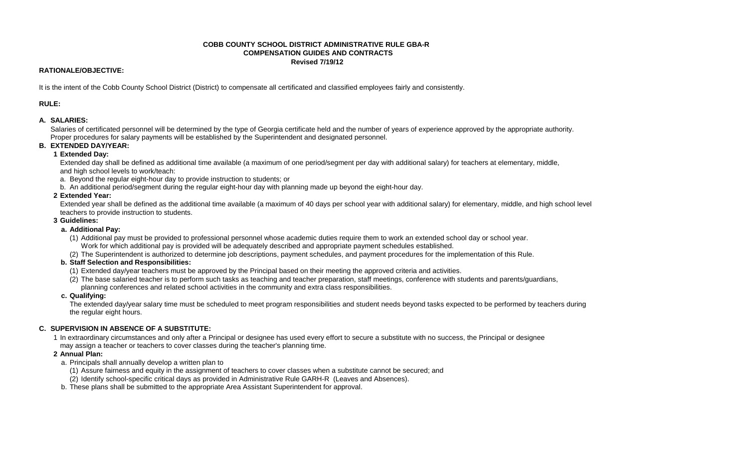#### **COBB COUNTY SCHOOL DISTRICT ADMINISTRATIVE RULE GBA-R COMPENSATION GUIDES AND CONTRACTS Revised 7/19/12**

#### **RATIONALE/OBJECTIVE:**

It is the intent of the Cobb County School District (District) to compensate all certificated and classified employees fairly and consistently.

**RULE:**

### **A. SALARIES:**

Salaries of certificated personnel will be determined by the type of Georgia certificate held and the number of years of experience approved by the appropriate authority. Proper procedures for salary payments will be established by the Superintendent and designated personnel.

#### **B. EXTENDED DAY/YEAR:**

#### **1 Extended Day:**

Extended day shall be defined as additional time available (a maximum of one period/segment per day with additional salary) for teachers at elementary, middle, and high school levels to work/teach:

a. Beyond the regular eight-hour day to provide instruction to students; or

b. An additional period/segment during the regular eight-hour day with planning made up beyond the eight-hour day.

#### **2 Extended Year:**

Extended year shall be defined as the additional time available (a maximum of 40 days per school year with additional salary) for elementary, middle, and high school level teachers to provide instruction to students.

#### **3 Guidelines:**

### **a. Additional Pay:**

- (1) Additional pay must be provided to professional personnel whose academic duties require them to work an extended school day or school year. Work for which additional pay is provided will be adequately described and appropriate payment schedules established.
- (2) The Superintendent is authorized to determine job descriptions, payment schedules, and payment procedures for the implementation of this Rule.
- **b. Staff Selection and Responsibilities:**
	- (1) Extended day/year teachers must be approved by the Principal based on their meeting the approved criteria and activities.
	- (2) The base salaried teacher is to perform such tasks as teaching and teacher preparation, staff meetings, conference with students and parents/guardians, planning conferences and related school activities in the community and extra class responsibilities.

#### **c. Qualifying:**

The extended day/year salary time must be scheduled to meet program responsibilities and student needs beyond tasks expected to be performed by teachers during the regular eight hours.

## **C. SUPERVISION IN ABSENCE OF A SUBSTITUTE:**

1 In extraordinary circumstances and only after a Principal or designee has used every effort to secure a substitute with no success, the Principal or designee may assign a teacher or teachers to cover classes during the teacher's planning time.

#### **2 Annual Plan:**

a. Principals shall annually develop a written plan to

(1) Assure fairness and equity in the assignment of teachers to cover classes when a substitute cannot be secured; and

- (2) Identify school-specific critical days as provided in Administrative Rule GARH-R (Leaves and Absences).
- b. These plans shall be submitted to the appropriate Area Assistant Superintendent for approval.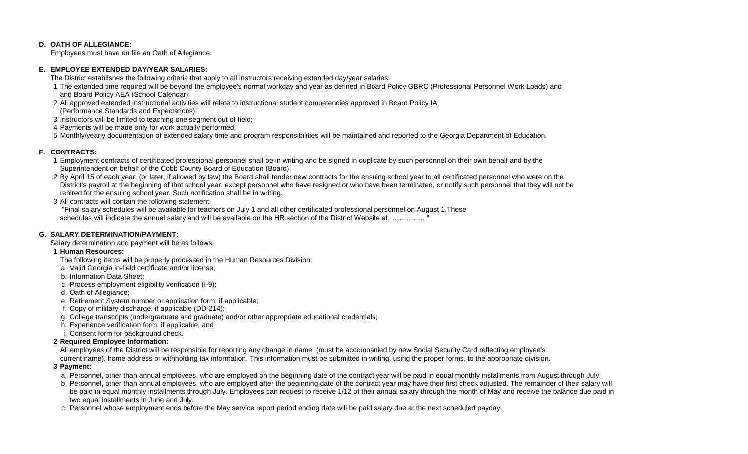#### **D. OATH OF ALLEGIANCE:**

Employees must have on file an Oath of Allegiance.

#### **E. EMPLOYEE EXTENDED DAY/YEAR SALARIES:**

The District establishes the following criteria that apply to all instructors receiving extended day/year salaries:

- 1 The extended time required will be beyond the employee's normal workday and year as defined in Board Policy GBRC (Professional Personnel Work Loads) and and Board Policy AEA (School Calendar);
- 2 All approved extended instructional activities will relate to instructional student competencies approved in Board Policy IA
- (Performance Standards and Expectations);
- 3 Instructors will be limited to teaching one segment out of field;
- 4 Payments will be made only for work actually performed;

5 Monthly/yearly documentation of extended salary time and program responsibilities will be maintained and reported to the Georgia Department of Education.

#### **F. CONTRACTS:**

- 1 Employment contracts of certificated professional personnel shall be in writing and be signed in duplicate by such personnel on their own behalf and by the Superintendent on behalf of the Cobb County Board of Education (Board).
- 2 By April 15 of each year, (or later, if allowed by law) the Board shall tender new contracts for the ensuing school year to all certificated personnel who were on the District's payroll at the beginning of that school year, except personnel who have resigned or who have been terminated, or notify such personnel that they will not be rehired for the ensuing school year. Such notification shall be in writing.
- 3 All contracts will contain the following statement:

 "Final salary schedules will be available for teachers on July 1 and all other certificated professional personnel on August 1.These schedules will indicate the annual salary and will be available on the HR section of the District Website at……………..

#### **G. SALARY DETERMINATION/PAYMENT:**

Salary determination and payment will be as follows:

- 1 **Human Resources:**
	- The following items will be properly processed in the Human Resources Division:
	- a. Valid Georgia in-field certificate and/or license;
	- b. Information Data Sheet;
	- c. Process employment eligibility verification (I-9);
	- d. Oath of Allegiance;
	- e. Retirement System number or application form, if applicable;
	- f. Copy of military discharge, if applicable (DD-214);
	- g. College transcripts (undergraduate and graduate) and/or other appropriate educational credentials;
	- h. Experience verification form, if applicable; and
	- i. Consent form for background check.
- **2 Required Employee Information:**

All employees of the District will be responsible for reporting any change in name (must be accompanied by new Social Security Card reflecting employee's

- current name), home address or withholding tax information. This information must be submitted in writing, using the proper forms, to the appropriate division.
- **3 Payment:**
	- a. Personnel, other than annual employees, who are employed on the beginning date of the contract year will be paid in equal monthly installments from August through July.
	- b. Personnel, other than annual employees, who are employed after the beginning date of the contract year may have their first check adjusted. The remainder of their salary will be paid in equal monthly installments through July. Employees can request to receive 1/12 of their annual salary through the month of May and receive the balance due paid in two equal installments in June and July.
	- c. Personnel whose employment ends before the May service report period ending date will be paid salary due at the next scheduled payday.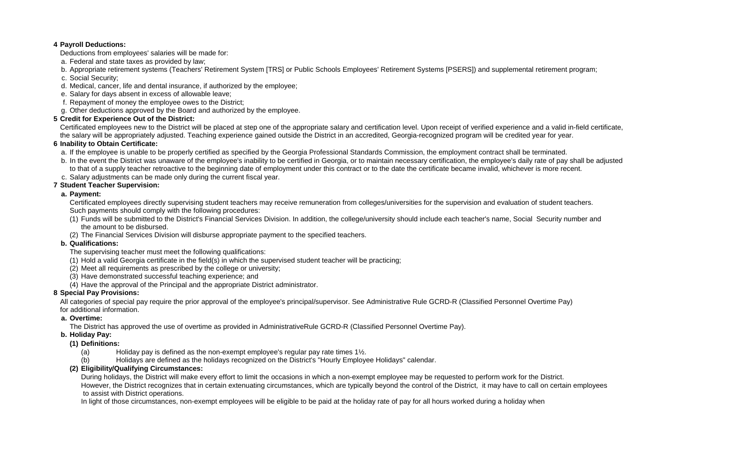#### **4 Payroll Deductions:**

- Deductions from employees' salaries will be made for:
- a. Federal and state taxes as provided by law;
- b. Appropriate retirement systems (Teachers' Retirement System [TRS] or Public Schools Employees' Retirement Systems [PSERS]) and supplemental retirement program;
- c. Social Security;
- d. Medical, cancer, life and dental insurance, if authorized by the employee;
- e. Salary for days absent in excess of allowable leave;
- f. Repayment of money the employee owes to the District;
- g. Other deductions approved by the Board and authorized by the employee.

# **5 Credit for Experience Out of the District:**

Certificated employees new to the District will be placed at step one of the appropriate salary and certification level. Upon receipt of verified experience and a valid in-field certificate, the salary will be appropriately adjusted. Teaching experience gained outside the District in an accredited, Georgia-recognized program will be credited year for year.

## **6 Inability to Obtain Certificate:**

a. If the employee is unable to be properly certified as specified by the Georgia Professional Standards Commission, the employment contract shall be terminated.

- b. In the event the District was unaware of the employee's inability to be certified in Georgia, or to maintain necessary certification, the employee's daily rate of pay shall be adjusted to that of a supply teacher retroactive to the beginning date of employment under this contract or to the date the certificate became invalid, whichever is more recent.
- c. Salary adjustments can be made only during the current fiscal year.

# **7 Student Teacher Supervision:**

## **a. Payment:**

Certificated employees directly supervising student teachers may receive remuneration from colleges/universities for the supervision and evaluation of student teachers. Such payments should comply with the following procedures:

(1) Funds will be submitted to the District's Financial Services Division. In addition, the college/university should include each teacher's name, Social Security number and the amount to be disbursed.

(2) The Financial Services Division will disburse appropriate payment to the specified teachers.

## **b. Qualifications:**

The supervising teacher must meet the following qualifications:

- (1) Hold a valid Georgia certificate in the field(s) in which the supervised student teacher will be practicing;
- (2) Meet all requirements as prescribed by the college or university;
- (3) Have demonstrated successful teaching experience; and
- (4) Have the approval of the Principal and the appropriate District administrator.

# **8 Special Pay Provisions:**

All categories of special pay require the prior approval of the employee's principal/supervisor. See Administrative Rule GCRD-R (Classified Personnel Overtime Pay)

## for additional information.

## **a. Overtime:**

The District has approved the use of overtime as provided in AdministrativeRule GCRD-R (Classified Personnel Overtime Pay).

## **b. Holiday Pay:**

## **(1) Definitions:**

- (a) Holiday pay is defined as the non-exempt employee's regular pay rate times  $1\frac{1}{2}$ .
- (b) Holidays are defined as the holidays recognized on the District's "Hourly Employee Holidays" calendar.

## **(2) Eligibility/Qualifying Circumstances:**

During holidays, the District will make every effort to limit the occasions in which a non-exempt employee may be requested to perform work for the District. However, the District recognizes that in certain extenuating circumstances, which are typically beyond the control of the District, it may have to call on certain employees to assist with District operations.

In light of those circumstances, non-exempt employees will be eligible to be paid at the holiday rate of pay for all hours worked during a holiday when